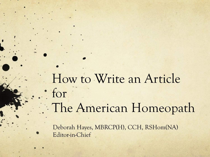How to Write an Article for The American Homeopath

Deborah Hayes, MBRCP(H), CCH, RSHom(NA) Editor-in-Chief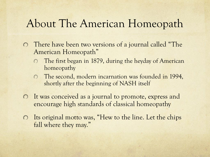#### About The American Homeopath

- There have been two versions of a journal called "The American Homeopath"
	- The first began in 1879, during the heyday of American  $\bigcap$ homeopathy
	- The second, modern incarnation was founded in 1994,  $\circ$ shortly after the beginning of NASH itself
- It was conceived as a journal to promote, express and  $\circ$ encourage high standards of classical homeopathy
- Its original motto was, "Hew to the line. Let the chips  $\circ$ fall where they may."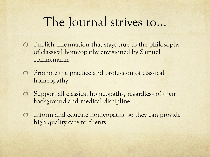## The Journal strives to…

- Publish information that stays true to the philosophy of classical homeopathy envisioned by Samuel Hahnemann
- Promote the practice and profession of classical  $\bigcirc$ homeopathy
- Support all classical homeopaths, regardless of their  $\circ$ background and medical discipline
- Inform and educate homeopaths, so they can provide  $\circ$ high quality care to clients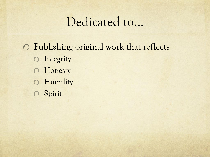## Dedicated to…

Publishing original work that reflects **O** Integrity **O** Honesty **O** Humility Spirit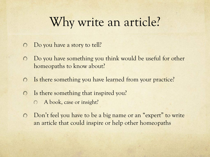## Why write an article?

- Do you have a story to tell?  $\Omega$
- Do you have something you think would be useful for other  $\bigcirc$ homeopaths to know about?
- Is there something you have learned from your practice?  $\circ$
- Is there something that inspired you?  $\Omega$ 
	- A book, case or insight?  $\bigcap$
- Don't feel you have to be a big name or an "expert" to write  $\circ$ an article that could inspire or help other homeopaths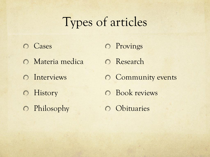## Types of articles

**O** Cases Materia medica **O** Interviews **O** History Philosophy O Provings

O Research

**O** Community events

**O** Book reviews

O Obituaries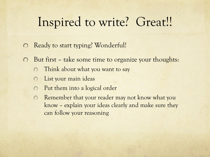# Inspired to write? Great!!

- Ready to start typing? Wonderful!  $\bigcirc$
- But first take some time to organize your thoughts:  $\bigcirc$ 
	- Think about what you want to say  $\bigcap$
	- List your main ideas  $\bigcirc$
	- Put them into a logical order  $\bigcirc$
	- Remember that your reader may not know what you  $\bigcirc$ know – explain your ideas clearly and make sure they can follow your reasoning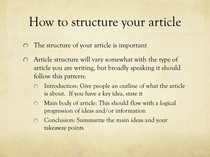## How to structure your article

- The structure of your article is important  $\bigcirc$
- Article structure will vary somewhat with the type of  $\bigcirc$ article you are writing, but broadly speaking it should follow this pattern:
	- Introduction: Give people an outline of what the article  $\bigcirc$ is about. If you have a key idea, state it
	- Main body of article: This should flow with a logical  $\bigcap$ progression of ideas and/or information
	- Conclusion: Summarize the main ideas and your  $\bigcap$ takeaway points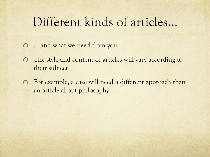## Different kinds of articles…

- … and what we need from you
- The style and content of articles will vary according to  $\bigcirc$ their subject
- For example, a case will need a different approach than an article about philosophy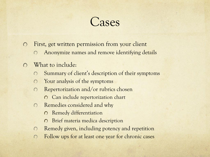## Cases

- First, get written permission from your client  $\bigcap$ 
	- Anonymize names and remove identifying details  $\bigcap$
- What to include:  $\bigcap$ 
	- Summary of client's description of their symptoms  $\bigcap$
	- Your analysis of the symptoms  $\bigcap$
	- Repertorization and/or rubrics chosen  $\bigcap$ 
		- O Can include repertorization chart
	- Remedies considered and why  $\bigcirc$ 
		- Remedy differentiation  $\Omega$
		- Brief materia medica description  $\bigcirc$
	- Remedy given, including potency and repetition  $\Omega$
	- Follow ups for at least one year for chronic cases $\Omega$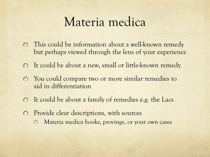## Materia medica

- This could be information about a well-known remedy  $\bigcap$ but perhaps viewed through the lens of your experience
- It could be about a new, small or little-known remedy
- $\Omega$  You could compare two or more similar remedies to aid in differentiation
- It could be about a family of remedies e.g. the Lacs  $\bigcirc$
- Provide clear descriptions, with sources
	- Materia medica books, provings, or your own cases $\bigcirc$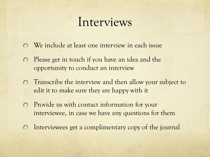## Interviews

- We include at least one interview in each issue
- Please get in touch if you have an idea and the  $\bigcirc$ opportunity to conduct an interview
- Transcribe the interview and then allow your subject to edit it to make sure they are happy with it
- Provide us with contact information for your interviewee, in case we have any questions for them
- Interviewees get a complimentary copy of the journal  $\bigcirc$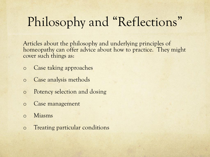# Philosophy and "Reflections"

Articles about the philosophy and underlying principles of homeopathy can offer advice about how to practice. They might cover such things as:

- o Case taking approaches
- o Case analysis methods
- o Potency selection and dosing
- o Case management
- o Miasms
- o Treating particular conditions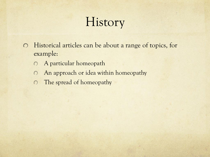# History

- Historical articles can be about a range of topics, for  $\circ$ example:
	- A particular homeopath  $\bigcirc$
	- An approach or idea within homeopathy  $\bigcirc$
	- The spread of homeopathy $\bigcirc$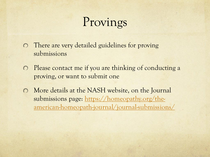# Provings

- There are very detailed guidelines for proving  $\circ$ submissions
- Please contact me if you are thinking of conducting a  $\bigcirc$ proving, or want to submit one
- More details at the NASH website, on the Journal  $\circ$ submissions page: https://homeopathy.org/the[american-homeopath-journal/journal-submissions/](https://homeopathy.org/the-american-homeopath-journal/journal-submissions/)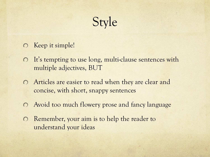Style

- O Keep it simple!
- It's tempting to use long, multi-clause sentences with multiple adjectives, BUT
- Articles are easier to read when they are clear and concise, with short, snappy sentences
- Avoid too much flowery prose and fancy language
- **C** Remember, your aim is to help the reader to understand your ideas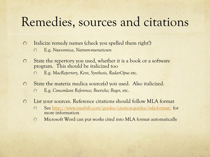## Remedies, sources and citations

- Italicize remedy names (check you spelled them right!)  $\Omega$ 
	- E.g. *Nux-vomica, Natrum-muriaticum*  $\Omega$
- State the repertory you used, whether it is a book or a software  $\bigcirc$ program. This should be italicized too
	- E.g. *MacRepertory, Kent, Synthesis, RadarOpus* etc.  $\bigcap$
- State the materia medica source(s) you used. Also italicized.  $\Omega$ 
	- E.g. *Concordant Reference; Boericke; Boger,* etc.  $\bigcap$
- List your sources. Reference citations should follow MLA format  $\bigcirc$ 
	- See<http://www.easybib.com/guides/citation-guides/mla-format/> for  $\bigcap$ more information
	- Microsoft Word can put works cited into MLA format automatically $\bigcirc$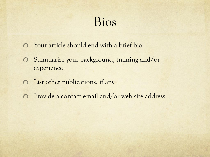## Bios

- Your article should end with a brief bio
- Summarize your background, training and/or  $\circ$ experience
- List other publications, if any
- Provide a contact email and/or web site address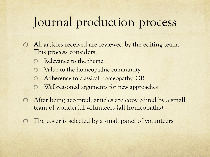## Journal production process

- All articles received are reviewed by the editing team. This process considers:
	- Relevance to the theme
	- Value to the homeopathic community
	- Adherence to classical homeopathy, OR  $\bigcap$
	- Well-reasoned arguments for new approaches  $\bigcap$
- After being accepted, articles are copy edited by a small  $\circ$ team of wonderful volunteers (all homeopaths)
- The cover is selected by a small panel of volunteers  $\bigcirc$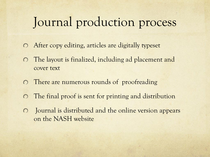## Journal production process

- After copy editing, articles are digitally typeset  $\circ$
- The layout is finalized, including ad placement and  $\bigcirc$ cover text
- There are numerous rounds of proofreading  $\bigcirc$
- The final proof is sent for printing and distribution  $\bigcirc$
- Journal is distributed and the online version appears  $\bigcirc$ on the NASH website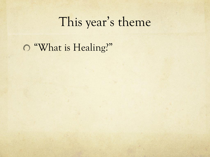## This year's theme

"What is Healing?"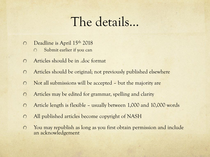## The details…

- Deadline is April 15<sup>th</sup> 2018  $\Omega$ 
	- Submit earlier if you can  $\Omega$
- Articles should be in .doc format  $\bigcap$
- Articles should be original; not previously published elsewhere  $\bigcirc$
- Not all submissions will be accepted but the majority are  $\bigcap$
- Articles may be edited for grammar, spelling and clarity  $\Omega$
- Article length is flexible usually between 1,000 and 10,000 words  $\circ$
- $\bigcap$ All published articles become copyright of NASH
- You may republish as long as you first obtain permission and include  $\bigcirc$ an acknowledgement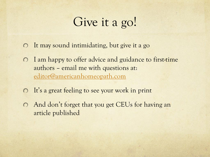## Give it a go!

- It may sound intimidating, but give it a go  $\bigcirc$
- I am happy to offer advice and guidance to first-time  $\bigcirc$ authors – email me with questions at: [editor@americanhomeopath.com](mailto:editor@americanhomeopath.com)
- It's a great feeling to see your work in print
- And don't forget that you get CEUs for having an article published